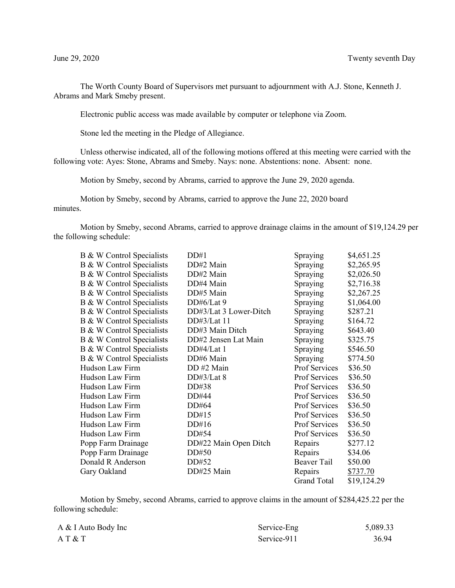The Worth County Board of Supervisors met pursuant to adjournment with A.J. Stone, Kenneth J. Abrams and Mark Smeby present.

Electronic public access was made available by computer or telephone via Zoom.

Stone led the meeting in the Pledge of Allegiance.

Unless otherwise indicated, all of the following motions offered at this meeting were carried with the following vote: Ayes: Stone, Abrams and Smeby. Nays: none. Abstentions: none. Absent: none.

Motion by Smeby, second by Abrams, carried to approve the June 29, 2020 agenda.

Motion by Smeby, second by Abrams, carried to approve the June 22, 2020 board minutes.

Motion by Smeby, second Abrams, carried to approve drainage claims in the amount of \$19,124.29 per the following schedule:

| B & W Control Specialists | DD#1                   | Spraying           | \$4,651.25  |
|---------------------------|------------------------|--------------------|-------------|
| B & W Control Specialists | DD#2 Main              | Spraying           | \$2,265.95  |
| B & W Control Specialists | DD#2 Main              | Spraying           | \$2,026.50  |
| B & W Control Specialists | DD#4 Main              | Spraying           | \$2,716.38  |
| B & W Control Specialists | DD#5 Main              | Spraying           | \$2,267.25  |
| B & W Control Specialists | DD#6/Lat 9             | Spraying           | \$1,064.00  |
| B & W Control Specialists | DD#3/Lat 3 Lower-Ditch | Spraying           | \$287.21    |
| B & W Control Specialists | DD#3/Lat 11            | Spraying           | \$164.72    |
| B & W Control Specialists | DD#3 Main Ditch        | Spraying           | \$643.40    |
| B & W Control Specialists | DD#2 Jensen Lat Main   | Spraying           | \$325.75    |
| B & W Control Specialists | DD#4/Lat 1             | Spraying           | \$546.50    |
| B & W Control Specialists | DD#6 Main              | Spraying           | \$774.50    |
| Hudson Law Firm           | DD #2 Main             | Prof Services      | \$36.50     |
| Hudson Law Firm           | DD#3/Lat 8             | Prof Services      | \$36.50     |
| Hudson Law Firm           | DD#38                  | Prof Services      | \$36.50     |
| Hudson Law Firm           | DD#44                  | Prof Services      | \$36.50     |
| Hudson Law Firm           | DD#64                  | Prof Services      | \$36.50     |
| Hudson Law Firm           | DD#15                  | Prof Services      | \$36.50     |
| Hudson Law Firm           | DD#16                  | Prof Services      | \$36.50     |
| Hudson Law Firm           | DD#54                  | Prof Services      | \$36.50     |
| Popp Farm Drainage        | DD#22 Main Open Ditch  | Repairs            | \$277.12    |
| Popp Farm Drainage        | DD#50                  | Repairs            | \$34.06     |
| Donald R Anderson         | DD#52                  | Beaver Tail        | \$50.00     |
| Gary Oakland              | DD#25 Main             | Repairs            | \$737.70    |
|                           |                        | <b>Grand Total</b> | \$19,124.29 |

Motion by Smeby, second Abrams, carried to approve claims in the amount of \$284,425.22 per the following schedule:

| A & I Auto Body Inc | Service-Eng | 5,089.33 |
|---------------------|-------------|----------|
| A T & T             | Service-911 | 36.94    |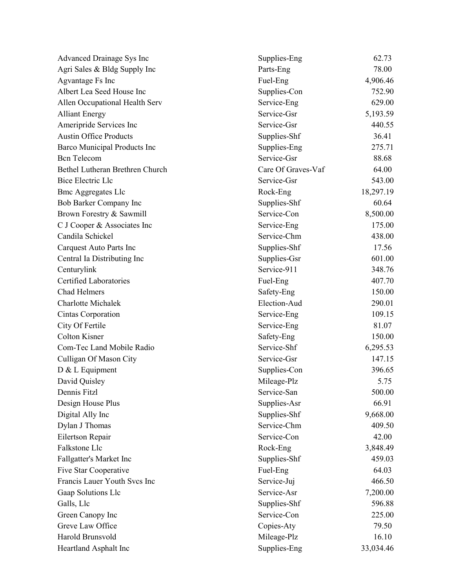| Advanced Drainage Sys Inc           | Supplies-Eng       | 62.73     |
|-------------------------------------|--------------------|-----------|
| Agri Sales & Bldg Supply Inc        | Parts-Eng          | 78.00     |
| Agvantage Fs Inc                    | Fuel-Eng           | 4,906.46  |
| Albert Lea Seed House Inc           | Supplies-Con       | 752.90    |
| Allen Occupational Health Serv      | Service-Eng        | 629.00    |
| <b>Alliant Energy</b>               | Service-Gsr        | 5,193.59  |
| Ameripride Services Inc             | Service-Gsr        | 440.55    |
| <b>Austin Office Products</b>       | Supplies-Shf       | 36.41     |
| <b>Barco Municipal Products Inc</b> | Supplies-Eng       | 275.71    |
| <b>Bcn</b> Telecom                  | Service-Gsr        | 88.68     |
| Bethel Lutheran Brethren Church     | Care Of Graves-Vaf | 64.00     |
| <b>Bice Electric Llc</b>            | Service-Gsr        | 543.00    |
| <b>Bmc Aggregates Llc</b>           | Rock-Eng           | 18,297.19 |
| Bob Barker Company Inc              | Supplies-Shf       | 60.64     |
| Brown Forestry & Sawmill            | Service-Con        | 8,500.00  |
| C J Cooper & Associates Inc         | Service-Eng        | 175.00    |
| Candila Schickel                    | Service-Chm        | 438.00    |
| Carquest Auto Parts Inc             | Supplies-Shf       | 17.56     |
| Central Ia Distributing Inc         | Supplies-Gsr       | 601.00    |
| Centurylink                         | Service-911        | 348.76    |
| <b>Certified Laboratories</b>       | Fuel-Eng           | 407.70    |
| <b>Chad Helmers</b>                 | Safety-Eng         | 150.00    |
| <b>Charlotte Michalek</b>           | Election-Aud       | 290.01    |
| Cintas Corporation                  | Service-Eng        | 109.15    |
| City Of Fertile                     | Service-Eng        | 81.07     |
| <b>Colton Kisner</b>                | Safety-Eng         | 150.00    |
| Com-Tec Land Mobile Radio           | Service-Shf        | 6,295.53  |
| Culligan Of Mason City              | Service-Gsr        | 147.15    |
| D & L Equipment                     | Supplies-Con       | 396.65    |
| David Quisley                       | Mileage-Plz        | 5.75      |
| Dennis Fitzl                        | Service-San        | 500.00    |
| Design House Plus                   | Supplies-Asr       | 66.91     |
| Digital Ally Inc                    | Supplies-Shf       | 9,668.00  |
| Dylan J Thomas                      | Service-Chm        | 409.50    |
| Eilertson Repair                    | Service-Con        | 42.00     |
| Falkstone Llc                       | Rock-Eng           | 3,848.49  |
| Fallgatter's Market Inc             | Supplies-Shf       | 459.03    |
| Five Star Cooperative               | Fuel-Eng           | 64.03     |
| Francis Lauer Youth Svcs Inc        | Service-Juj        | 466.50    |
| Gaap Solutions Llc                  | Service-Asr        | 7,200.00  |
| Galls, Llc                          | Supplies-Shf       | 596.88    |
| Green Canopy Inc                    | Service-Con        | 225.00    |
| Greve Law Office                    | Copies-Aty         | 79.50     |
| Harold Brunsvold                    | Mileage-Plz        | 16.10     |
| Heartland Asphalt Inc               | Supplies-Eng       | 33,034.46 |
|                                     |                    |           |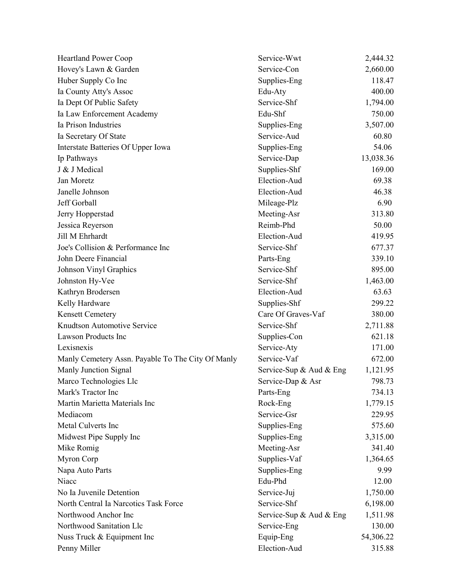| <b>Heartland Power Coop</b>                       | Service-Wwt             | 2,444.32  |
|---------------------------------------------------|-------------------------|-----------|
| Hovey's Lawn & Garden                             | Service-Con             | 2,660.00  |
| Huber Supply Co Inc                               | Supplies-Eng            | 118.47    |
| Ia County Atty's Assoc                            | Edu-Aty                 | 400.00    |
| Ia Dept Of Public Safety                          | Service-Shf             | 1,794.00  |
| Ia Law Enforcement Academy                        | Edu-Shf                 | 750.00    |
| Ia Prison Industries                              | Supplies-Eng            | 3,507.00  |
| Ia Secretary Of State                             | Service-Aud             | 60.80     |
| Interstate Batteries Of Upper Iowa                | Supplies-Eng            | 54.06     |
| Ip Pathways                                       | Service-Dap             | 13,038.36 |
| J & J Medical                                     | Supplies-Shf            | 169.00    |
| Jan Moretz                                        | Election-Aud            | 69.38     |
| Janelle Johnson                                   | Election-Aud            | 46.38     |
| Jeff Gorball                                      | Mileage-Plz             | 6.90      |
| Jerry Hopperstad                                  | Meeting-Asr             | 313.80    |
| Jessica Reyerson                                  | Reimb-Phd               | 50.00     |
| Jill M Ehrhardt                                   | Election-Aud            | 419.95    |
| Joe's Collision & Performance Inc                 | Service-Shf             | 677.37    |
| John Deere Financial                              | Parts-Eng               | 339.10    |
| Johnson Vinyl Graphics                            | Service-Shf             | 895.00    |
| Johnston Hy-Vee                                   | Service-Shf             | 1,463.00  |
| Kathryn Brodersen                                 | Election-Aud            | 63.63     |
| Kelly Hardware                                    | Supplies-Shf            | 299.22    |
| <b>Kensett Cemetery</b>                           | Care Of Graves-Vaf      | 380.00    |
| Knudtson Automotive Service                       | Service-Shf             | 2,711.88  |
| Lawson Products Inc                               | Supplies-Con            | 621.18    |
| Lexisnexis                                        | Service-Aty             | 171.00    |
| Manly Cemetery Assn. Payable To The City Of Manly | Service-Vaf             | 672.00    |
| Manly Junction Signal                             | Service-Sup & Aud & Eng | 1,121.95  |
| Marco Technologies Llc                            | Service-Dap & Asr       | 798.73    |
| Mark's Tractor Inc                                | Parts-Eng               | 734.13    |
| Martin Marietta Materials Inc                     | Rock-Eng                | 1,779.15  |
| Mediacom                                          | Service-Gsr             | 229.95    |
| Metal Culverts Inc                                | Supplies-Eng            | 575.60    |
| Midwest Pipe Supply Inc                           | Supplies-Eng            | 3,315.00  |
| Mike Romig                                        | Meeting-Asr             | 341.40    |
| Myron Corp                                        | Supplies-Vaf            | 1,364.65  |
| Napa Auto Parts                                   | Supplies-Eng            | 9.99      |
| Niacc                                             | Edu-Phd                 | 12.00     |
| No Ia Juvenile Detention                          | Service-Juj             | 1,750.00  |
| North Central Ia Narcotics Task Force             | Service-Shf             | 6,198.00  |
| Northwood Anchor Inc                              | Service-Sup & Aud & Eng | 1,511.98  |
| Northwood Sanitation Llc                          | Service-Eng             | 130.00    |
| Nuss Truck & Equipment Inc                        | Equip-Eng               | 54,306.22 |
| Penny Miller                                      | Election-Aud            | 315.88    |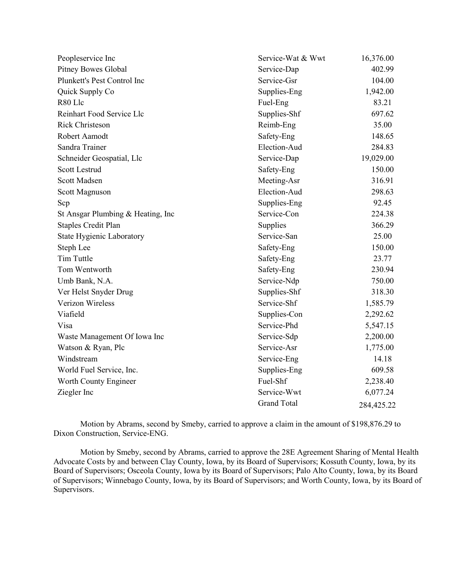| Peopleservice Inc                 | Service-Wat & Wwt  | 16,376.00  |
|-----------------------------------|--------------------|------------|
| <b>Pitney Bowes Global</b>        | Service-Dap        | 402.99     |
| Plunkett's Pest Control Inc       | Service-Gsr        | 104.00     |
| Quick Supply Co                   | Supplies-Eng       | 1,942.00   |
| R80 Llc                           | Fuel-Eng           | 83.21      |
| Reinhart Food Service Llc         | Supplies-Shf       | 697.62     |
| <b>Rick Christeson</b>            | Reimb-Eng          | 35.00      |
| Robert Aamodt                     | Safety-Eng         | 148.65     |
| Sandra Trainer                    | Election-Aud       | 284.83     |
| Schneider Geospatial, Llc         | Service-Dap        | 19,029.00  |
| <b>Scott Lestrud</b>              | Safety-Eng         | 150.00     |
| Scott Madsen                      | Meeting-Asr        | 316.91     |
| Scott Magnuson                    | Election-Aud       | 298.63     |
| Scp                               | Supplies-Eng       | 92.45      |
| St Ansgar Plumbing & Heating, Inc | Service-Con        | 224.38     |
| <b>Staples Credit Plan</b>        | Supplies           | 366.29     |
| State Hygienic Laboratory         | Service-San        | 25.00      |
| Steph Lee                         | Safety-Eng         | 150.00     |
| Tim Tuttle                        | Safety-Eng         | 23.77      |
| Tom Wentworth                     | Safety-Eng         | 230.94     |
| Umb Bank, N.A.                    | Service-Ndp        | 750.00     |
| Ver Helst Snyder Drug             | Supplies-Shf       | 318.30     |
| Verizon Wireless                  | Service-Shf        | 1,585.79   |
| Viafield                          | Supplies-Con       | 2,292.62   |
| Visa                              | Service-Phd        | 5,547.15   |
| Waste Management Of Iowa Inc      | Service-Sdp        | 2,200.00   |
| Watson & Ryan, Plc                | Service-Asr        | 1,775.00   |
| Windstream                        | Service-Eng        | 14.18      |
| World Fuel Service, Inc.          | Supplies-Eng       | 609.58     |
| Worth County Engineer             | Fuel-Shf           | 2,238.40   |
| Ziegler Inc                       | Service-Wwt        | 6,077.24   |
|                                   | <b>Grand Total</b> | 284,425.22 |

Motion by Abrams, second by Smeby, carried to approve a claim in the amount of \$198,876.29 to Dixon Construction, Service-ENG.

Motion by Smeby, second by Abrams, carried to approve the 28E Agreement Sharing of Mental Health Advocate Costs by and between Clay County, Iowa, by its Board of Supervisors; Kossuth County, Iowa, by its Board of Supervisors; Osceola County, Iowa by its Board of Supervisors; Palo Alto County, Iowa, by its Board of Supervisors; Winnebago County, Iowa, by its Board of Supervisors; and Worth County, Iowa, by its Board of Supervisors.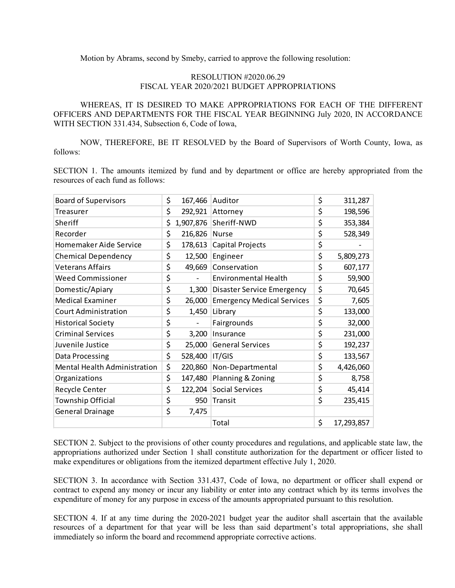Motion by Abrams, second by Smeby, carried to approve the following resolution:

## RESOLUTION #2020.06.29 FISCAL YEAR 2020/2021 BUDGET APPROPRIATIONS

WHEREAS, IT IS DESIRED TO MAKE APPROPRIATIONS FOR EACH OF THE DIFFERENT OFFICERS AND DEPARTMENTS FOR THE FISCAL YEAR BEGINNING July 2020, IN ACCORDANCE WITH SECTION 331.434, Subsection 6, Code of Iowa,

NOW, THEREFORE, BE IT RESOLVED by the Board of Supervisors of Worth County, Iowa, as follows:

SECTION 1. The amounts itemized by fund and by department or office are hereby appropriated from the resources of each fund as follows:

| <b>Board of Supervisors</b>  | \$<br>167,466   | Auditor                           | \$<br>311,287    |
|------------------------------|-----------------|-----------------------------------|------------------|
| Treasurer                    | \$              | 292,921 Attorney                  | \$<br>198,596    |
| Sheriff                      | \$<br>1,907,876 | Sheriff-NWD                       | \$<br>353,384    |
| Recorder                     | \$<br>216,826   | Nurse                             | \$<br>528,349    |
| Homemaker Aide Service       | \$<br>178,613   | Capital Projects                  | \$               |
| <b>Chemical Dependency</b>   | \$<br>12,500    | Engineer                          | \$<br>5,809,273  |
| <b>Veterans Affairs</b>      | \$<br>49,669    | Conservation                      | \$<br>607,177    |
| <b>Weed Commissioner</b>     | \$              | <b>Environmental Health</b>       | \$<br>59,900     |
| Domestic/Apiary              | \$<br>1,300     | <b>Disaster Service Emergency</b> | \$<br>70,645     |
| <b>Medical Examiner</b>      | \$<br>26,000    | <b>Emergency Medical Services</b> | \$<br>7,605      |
| <b>Court Administration</b>  | \$<br>1,450     | Library                           | \$<br>133,000    |
| <b>Historical Society</b>    | \$              | Fairgrounds                       | \$<br>32,000     |
| <b>Criminal Services</b>     | \$<br>3,200     | Insurance                         | \$<br>231,000    |
| Juvenile Justice             | \$<br>25,000    | <b>General Services</b>           | \$<br>192,237    |
| Data Processing              | \$<br>528,400   | IT/GIS                            | \$<br>133,567    |
| Mental Health Administration | \$<br>220,860   | Non-Departmental                  | \$<br>4,426,060  |
| Organizations                | \$<br>147,480   | Planning & Zoning                 | \$<br>8,758      |
| Recycle Center               | \$<br>122,204   | <b>Social Services</b>            | \$<br>45,414     |
| Township Official            | \$<br>950       | Transit                           | \$<br>235,415    |
| <b>General Drainage</b>      | \$<br>7,475     |                                   |                  |
|                              |                 | Total                             | \$<br>17,293,857 |

SECTION 2. Subject to the provisions of other county procedures and regulations, and applicable state law, the appropriations authorized under Section 1 shall constitute authorization for the department or officer listed to make expenditures or obligations from the itemized department effective July 1, 2020.

SECTION 3. In accordance with Section 331.437, Code of Iowa, no department or officer shall expend or contract to expend any money or incur any liability or enter into any contract which by its terms involves the expenditure of money for any purpose in excess of the amounts appropriated pursuant to this resolution.

SECTION 4. If at any time during the 2020-2021 budget year the auditor shall ascertain that the available resources of a department for that year will be less than said department's total appropriations, she shall immediately so inform the board and recommend appropriate corrective actions.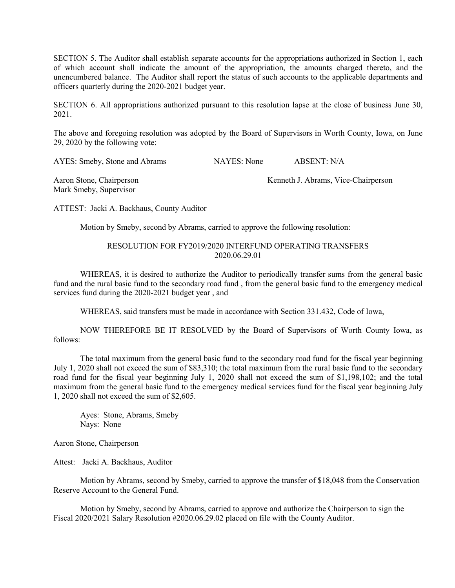SECTION 5. The Auditor shall establish separate accounts for the appropriations authorized in Section 1, each of which account shall indicate the amount of the appropriation, the amounts charged thereto, and the unencumbered balance. The Auditor shall report the status of such accounts to the applicable departments and officers quarterly during the 2020-2021 budget year.

SECTION 6. All appropriations authorized pursuant to this resolution lapse at the close of business June 30, 2021.

The above and foregoing resolution was adopted by the Board of Supervisors in Worth County, Iowa, on June 29, 2020 by the following vote:

AYES: Smeby, Stone and Abrams NAYES: None ABSENT: N/A

Mark Smeby, Supervisor

Aaron Stone, Chairperson Kenneth J. Abrams, Vice-Chairperson

ATTEST: Jacki A. Backhaus, County Auditor

Motion by Smeby, second by Abrams, carried to approve the following resolution:

## RESOLUTION FOR FY2019/2020 INTERFUND OPERATING TRANSFERS 2020.06.29.01

WHEREAS, it is desired to authorize the Auditor to periodically transfer sums from the general basic fund and the rural basic fund to the secondary road fund , from the general basic fund to the emergency medical services fund during the 2020-2021 budget year , and

WHEREAS, said transfers must be made in accordance with Section 331.432, Code of Iowa,

NOW THEREFORE BE IT RESOLVED by the Board of Supervisors of Worth County Iowa, as follows:

The total maximum from the general basic fund to the secondary road fund for the fiscal year beginning July 1, 2020 shall not exceed the sum of \$83,310; the total maximum from the rural basic fund to the secondary road fund for the fiscal year beginning July 1, 2020 shall not exceed the sum of \$1,198,102; and the total maximum from the general basic fund to the emergency medical services fund for the fiscal year beginning July 1, 2020 shall not exceed the sum of \$2,605.

Ayes: Stone, Abrams, Smeby Nays: None

Aaron Stone, Chairperson

Attest: Jacki A. Backhaus, Auditor

Motion by Abrams, second by Smeby, carried to approve the transfer of \$18,048 from the Conservation Reserve Account to the General Fund.

Motion by Smeby, second by Abrams, carried to approve and authorize the Chairperson to sign the Fiscal 2020/2021 Salary Resolution #2020.06.29.02 placed on file with the County Auditor.